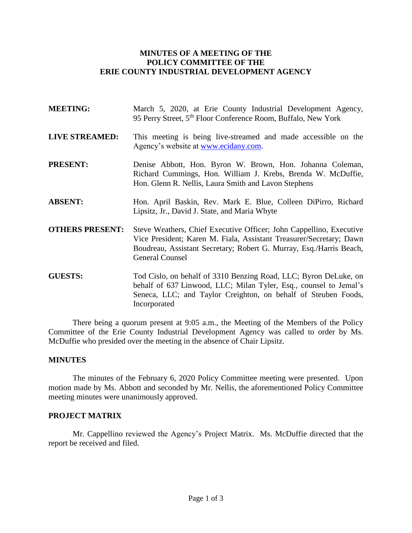## **MINUTES OF A MEETING OF THE POLICY COMMITTEE OF THE ERIE COUNTY INDUSTRIAL DEVELOPMENT AGENCY**

- **MEETING:** March 5, 2020, at Erie County Industrial Development Agency, 95 Perry Street, 5<sup>th</sup> Floor Conference Room, Buffalo, New York **LIVE STREAMED:** This meeting is being live-streamed and made accessible on the Agency's website at [www.ecidany.com.](http://www.ecidany.com/) **PRESENT:** Denise Abbott, Hon. Byron W. Brown, Hon. Johanna Coleman, Richard Cummings, Hon. William J. Krebs, Brenda W. McDuffie, Hon. Glenn R. Nellis, Laura Smith and Lavon Stephens **ABSENT:** Hon. April Baskin, Rev. Mark E. Blue, Colleen DiPirro, Richard
- **OTHERS PRESENT:** Steve Weathers, Chief Executive Officer; John Cappellino, Executive Vice President; Karen M. Fiala, Assistant Treasurer/Secretary; Dawn Boudreau, Assistant Secretary; Robert G. Murray, Esq./Harris Beach, General Counsel

Lipsitz, Jr., David J. State, and Maria Whyte

**GUESTS:** Tod Cislo, on behalf of 3310 Benzing Road, LLC; Byron DeLuke, on behalf of 637 Linwood, LLC; Milan Tyler, Esq., counsel to Jemal's Seneca, LLC; and Taylor Creighton, on behalf of Steuben Foods, Incorporated

There being a quorum present at 9:05 a.m., the Meeting of the Members of the Policy Committee of the Erie County Industrial Development Agency was called to order by Ms. McDuffie who presided over the meeting in the absence of Chair Lipsitz.

## **MINUTES**

The minutes of the February 6, 2020 Policy Committee meeting were presented. Upon motion made by Ms. Abbott and seconded by Mr. Nellis, the aforementioned Policy Committee meeting minutes were unanimously approved.

## **PROJECT MATRIX**

Mr. Cappellino reviewed the Agency's Project Matrix. Ms. McDuffie directed that the report be received and filed.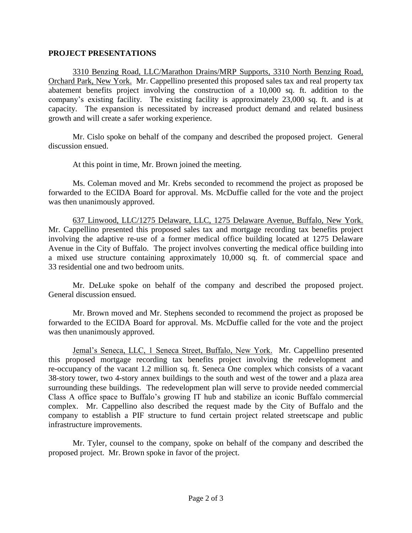## **PROJECT PRESENTATIONS**

3310 Benzing Road, LLC/Marathon Drains/MRP Supports, 3310 North Benzing Road, Orchard Park, New York. Mr. Cappellino presented this proposed sales tax and real property tax abatement benefits project involving the construction of a 10,000 sq. ft. addition to the company's existing facility. The existing facility is approximately 23,000 sq. ft. and is at capacity. The expansion is necessitated by increased product demand and related business growth and will create a safer working experience.

Mr. Cislo spoke on behalf of the company and described the proposed project. General discussion ensued.

At this point in time, Mr. Brown joined the meeting.

Ms. Coleman moved and Mr. Krebs seconded to recommend the project as proposed be forwarded to the ECIDA Board for approval. Ms. McDuffie called for the vote and the project was then unanimously approved.

637 Linwood, LLC/1275 Delaware, LLC, 1275 Delaware Avenue, Buffalo, New York. Mr. Cappellino presented this proposed sales tax and mortgage recording tax benefits project involving the adaptive re-use of a former medical office building located at 1275 Delaware Avenue in the City of Buffalo. The project involves converting the medical office building into a mixed use structure containing approximately 10,000 sq. ft. of commercial space and 33 residential one and two bedroom units.

Mr. DeLuke spoke on behalf of the company and described the proposed project. General discussion ensued.

Mr. Brown moved and Mr. Stephens seconded to recommend the project as proposed be forwarded to the ECIDA Board for approval. Ms. McDuffie called for the vote and the project was then unanimously approved.

Jemal's Seneca, LLC, 1 Seneca Street, Buffalo, New York. Mr. Cappellino presented this proposed mortgage recording tax benefits project involving the redevelopment and re-occupancy of the vacant 1.2 million sq. ft. Seneca One complex which consists of a vacant 38-story tower, two 4-story annex buildings to the south and west of the tower and a plaza area surrounding these buildings. The redevelopment plan will serve to provide needed commercial Class A office space to Buffalo's growing IT hub and stabilize an iconic Buffalo commercial complex. Mr. Cappellino also described the request made by the City of Buffalo and the company to establish a PIF structure to fund certain project related streetscape and public infrastructure improvements.

Mr. Tyler, counsel to the company, spoke on behalf of the company and described the proposed project. Mr. Brown spoke in favor of the project.